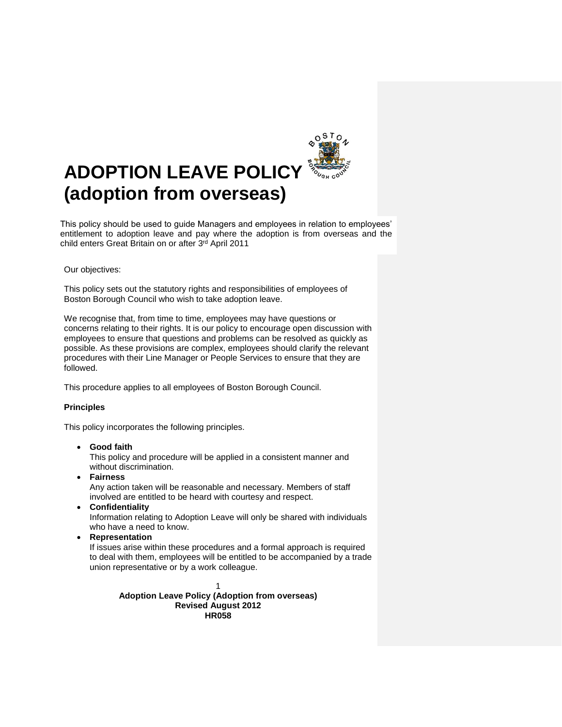

# **ADOPTION LEAVE POLICY (adoption from overseas)**

This policy should be used to guide Managers and employees in relation to employees' entitlement to adoption leave and pay where the adoption is from overseas and the child enters Great Britain on or after 3rd April 2011

#### Our objectives:

This policy sets out the statutory rights and responsibilities of employees of Boston Borough Council who wish to take adoption leave.

We recognise that, from time to time, employees may have questions or concerns relating to their rights. It is our policy to encourage open discussion with employees to ensure that questions and problems can be resolved as quickly as possible. As these provisions are complex, employees should clarify the relevant procedures with their Line Manager or People Services to ensure that they are followed.

This procedure applies to all employees of Boston Borough Council.

#### **Principles**

This policy incorporates the following principles.

**Good faith**

This policy and procedure will be applied in a consistent manner and without discrimination.

- **Fairness** Any action taken will be reasonable and necessary. Members of staff involved are entitled to be heard with courtesy and respect.
- **Confidentiality**

Information relating to Adoption Leave will only be shared with individuals who have a need to know.

**Representation**

If issues arise within these procedures and a formal approach is required to deal with them, employees will be entitled to be accompanied by a trade union representative or by a work colleague.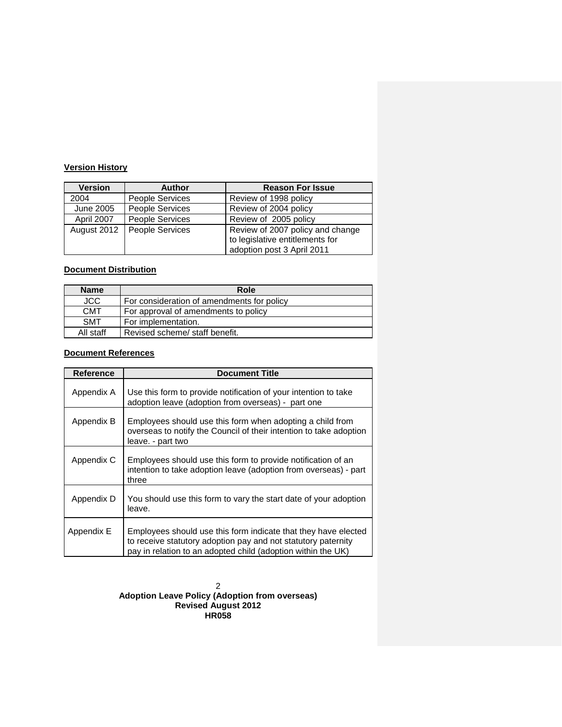# **Version History**

| <b>Version</b> | <b>Author</b>          | <b>Reason For Issue</b>                                                                           |
|----------------|------------------------|---------------------------------------------------------------------------------------------------|
| 2004           | <b>People Services</b> | Review of 1998 policy                                                                             |
| June 2005      | People Services        | Review of 2004 policy                                                                             |
| April 2007     | <b>People Services</b> | Review of 2005 policy                                                                             |
| August 2012    | People Services        | Review of 2007 policy and change<br>to legislative entitlements for<br>adoption post 3 April 2011 |

## **Document Distribution**

| <b>Name</b> | Role                                       |
|-------------|--------------------------------------------|
| <b>JCC</b>  | For consideration of amendments for policy |
| <b>CMT</b>  | For approval of amendments to policy       |
| <b>SMT</b>  | For implementation.                        |
| All staff   | Revised scheme/ staff benefit.             |

## **Document References**

| Reference  | <b>Document Title</b>                                                                                                                                                                           |
|------------|-------------------------------------------------------------------------------------------------------------------------------------------------------------------------------------------------|
| Appendix A | Use this form to provide notification of your intention to take<br>adoption leave (adoption from overseas) - part one                                                                           |
| Appendix B | Employees should use this form when adopting a child from<br>overseas to notify the Council of their intention to take adoption<br>leave. - part two                                            |
| Appendix C | Employees should use this form to provide notification of an<br>intention to take adoption leave (adoption from overseas) - part<br>three                                                       |
| Appendix D | You should use this form to vary the start date of your adoption<br>leave.                                                                                                                      |
| Appendix E | Employees should use this form indicate that they have elected<br>to receive statutory adoption pay and not statutory paternity<br>pay in relation to an adopted child (adoption within the UK) |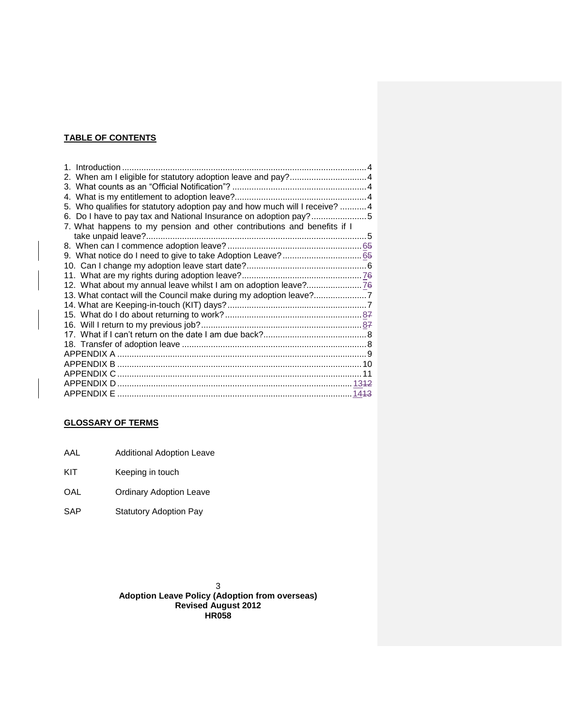## **TABLE OF CONTENTS**

| 5. Who qualifies for statutory adoption pay and how much will I receive?  4 |  |
|-----------------------------------------------------------------------------|--|
|                                                                             |  |
| 7. What happens to my pension and other contributions and benefits if I     |  |
|                                                                             |  |
|                                                                             |  |
|                                                                             |  |
|                                                                             |  |
|                                                                             |  |
|                                                                             |  |
| 13. What contact will the Council make during my adoption leave?7           |  |
|                                                                             |  |
|                                                                             |  |
|                                                                             |  |
|                                                                             |  |
|                                                                             |  |
|                                                                             |  |
|                                                                             |  |
|                                                                             |  |
|                                                                             |  |
|                                                                             |  |

## **GLOSSARY OF TERMS**

- AAL Additional Adoption Leave
- KIT Keeping in touch
- OAL Ordinary Adoption Leave
- SAP Statutory Adoption Pay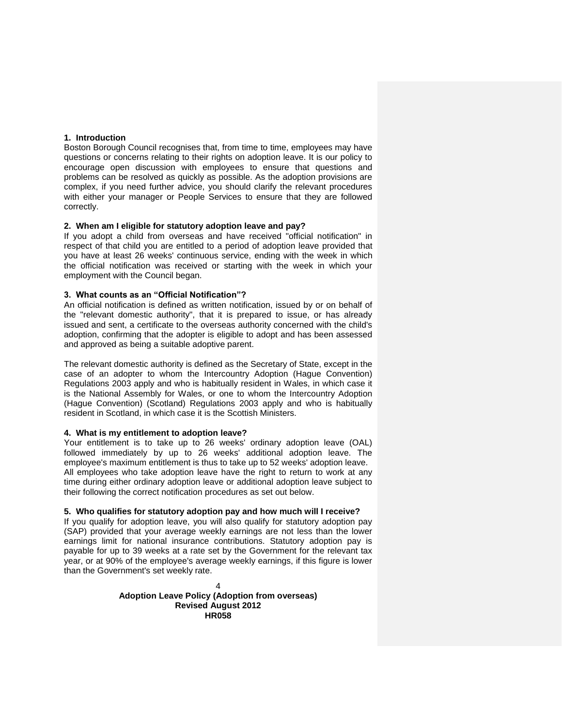#### <span id="page-3-0"></span>**1. Introduction**

Boston Borough Council recognises that, from time to time, employees may have questions or concerns relating to their rights on adoption leave. It is our policy to encourage open discussion with employees to ensure that questions and problems can be resolved as quickly as possible. As the adoption provisions are complex, if you need further advice, you should clarify the relevant procedures with either your manager or People Services to ensure that they are followed correctly.

#### <span id="page-3-1"></span>**2. When am I eligible for statutory adoption leave and pay?**

If you adopt a child from overseas and have received "official notification" in respect of that child you are entitled to a period of adoption leave provided that you have at least 26 weeks' continuous service, ending with the week in which the official notification was received or starting with the week in which your employment with the Council began.

#### <span id="page-3-2"></span>**3. What counts as an "Official Notification"?**

An official notification is defined as written notification, issued by or on behalf of the "relevant domestic authority", that it is prepared to issue, or has already issued and sent, a certificate to the overseas authority concerned with the child's adoption, confirming that the adopter is eligible to adopt and has been assessed and approved as being a suitable adoptive parent.

The relevant domestic authority is defined as the Secretary of State, except in the case of an adopter to whom the Intercountry Adoption (Hague Convention) Regulations 2003 apply and who is habitually resident in Wales, in which case it is the National Assembly for Wales, or one to whom the Intercountry Adoption (Hague Convention) (Scotland) Regulations 2003 apply and who is habitually resident in Scotland, in which case it is the Scottish Ministers.

#### <span id="page-3-3"></span>**4. What is my entitlement to adoption leave?**

Your entitlement is to take up to 26 weeks' ordinary adoption leave (OAL) followed immediately by up to 26 weeks' additional adoption leave. The employee's maximum entitlement is thus to take up to 52 weeks' adoption leave. All employees who take adoption leave have the right to return to work at any time during either ordinary adoption leave or additional adoption leave subject to their following the correct notification procedures as set out below.

#### <span id="page-3-4"></span>**5. Who qualifies for statutory adoption pay and how much will I receive?**

If you qualify for adoption leave, you will also qualify for statutory adoption pay (SAP) provided that your average weekly earnings are not less than the lower earnings limit for national insurance contributions. Statutory adoption pay is payable for up to 39 weeks at a rate set by the Government for the relevant tax year, or at 90% of the employee's average weekly earnings, if this figure is lower than the Government's set weekly rate.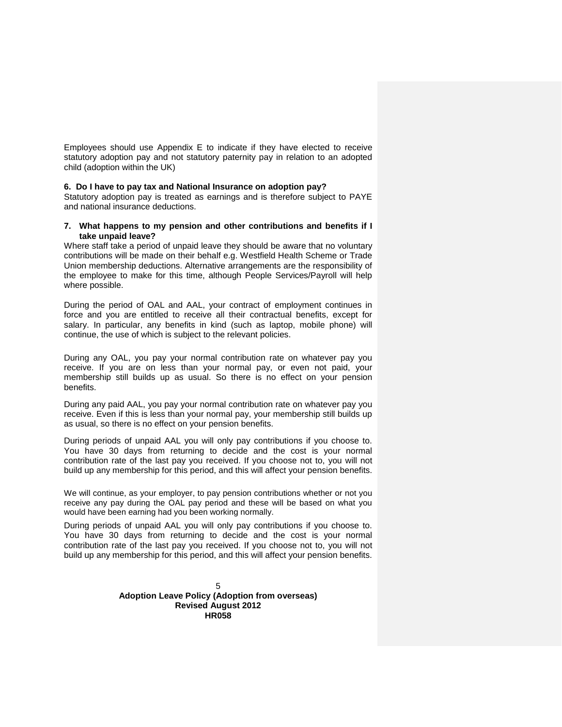Employees should use Appendix E to indicate if they have elected to receive statutory adoption pay and not statutory paternity pay in relation to an adopted child (adoption within the UK)

#### <span id="page-4-0"></span>**6. Do I have to pay tax and National Insurance on adoption pay?**

Statutory adoption pay is treated as earnings and is therefore subject to PAYE and national insurance deductions.

#### <span id="page-4-1"></span>**7. What happens to my pension and other contributions and benefits if I take unpaid leave?**

Where staff take a period of unpaid leave they should be aware that no voluntary contributions will be made on their behalf e.g. Westfield Health Scheme or Trade Union membership deductions. Alternative arrangements are the responsibility of the employee to make for this time, although People Services/Payroll will help where possible.

During the period of OAL and AAL, your contract of employment continues in force and you are entitled to receive all their contractual benefits, except for salary. In particular, any benefits in kind (such as laptop, mobile phone) will continue, the use of which is subject to the relevant policies.

During any OAL, you pay your normal contribution rate on whatever pay you receive. If you are on less than your normal pay, or even not paid, your membership still builds up as usual. So there is no effect on your pension benefits.

During any paid AAL, you pay your normal contribution rate on whatever pay you receive. Even if this is less than your normal pay, your membership still builds up as usual, so there is no effect on your pension benefits.

During periods of unpaid AAL you will only pay contributions if you choose to. You have 30 days from returning to decide and the cost is your normal contribution rate of the last pay you received. If you choose not to, you will not build up any membership for this period, and this will affect your pension benefits.

We will continue, as your employer, to pay pension contributions whether or not you receive any pay during the OAL pay period and these will be based on what you would have been earning had you been working normally.

During periods of unpaid AAL you will only pay contributions if you choose to. You have 30 days from returning to decide and the cost is your normal contribution rate of the last pay you received. If you choose not to, you will not build up any membership for this period, and this will affect your pension benefits.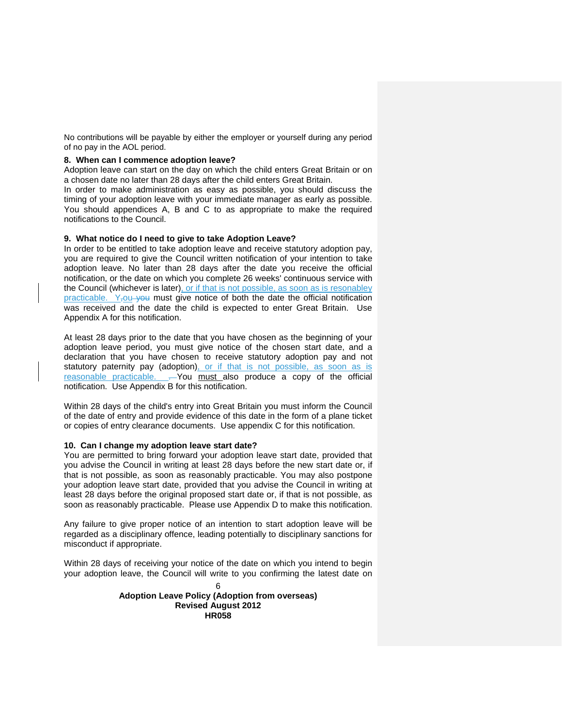No contributions will be payable by either the employer or yourself during any period of no pay in the AOL period.

#### <span id="page-5-0"></span>**8. When can I commence adoption leave?**

Adoption leave can start on the day on which the child enters Great Britain or on a chosen date no later than 28 days after the child enters Great Britain.

In order to make administration as easy as possible, you should discuss the timing of your adoption leave with your immediate manager as early as possible. You should appendices A, B and C to as appropriate to make the required notifications to the Council.

#### <span id="page-5-1"></span>**9. What notice do I need to give to take Adoption Leave?**

In order to be entitled to take adoption leave and receive statutory adoption pay, you are required to give the Council written notification of your intention to take adoption leave. No later than 28 days after the date you receive the official notification, or the date on which you complete 26 weeks' continuous service with the Council (whichever is later), or if that is not possible, as soon as is resonabley practicable. Y<sub>rou</sub> you must give notice of both the date the official notification was received and the date the child is expected to enter Great Britain. Use Appendix A for this notification.

At least 28 days prior to the date that you have chosen as the beginning of your adoption leave period, you must give notice of the chosen start date, and a declaration that you have chosen to receive statutory adoption pay and not statutory paternity pay (adoption), or if that is not possible, as soon as is reasonable practicable. . You must also produce a copy of the official notification. Use Appendix B for this notification.

Within 28 days of the child's entry into Great Britain you must inform the Council of the date of entry and provide evidence of this date in the form of a plane ticket or copies of entry clearance documents. Use appendix C for this notification.

#### <span id="page-5-2"></span>**10. Can I change my adoption leave start date?**

You are permitted to bring forward your adoption leave start date, provided that you advise the Council in writing at least 28 days before the new start date or, if that is not possible, as soon as reasonably practicable. You may also postpone your adoption leave start date, provided that you advise the Council in writing at least 28 days before the original proposed start date or, if that is not possible, as soon as reasonably practicable. Please use Appendix D to make this notification.

Any failure to give proper notice of an intention to start adoption leave will be regarded as a disciplinary offence, leading potentially to disciplinary sanctions for misconduct if appropriate.

Within 28 days of receiving your notice of the date on which you intend to begin your adoption leave, the Council will write to you confirming the latest date on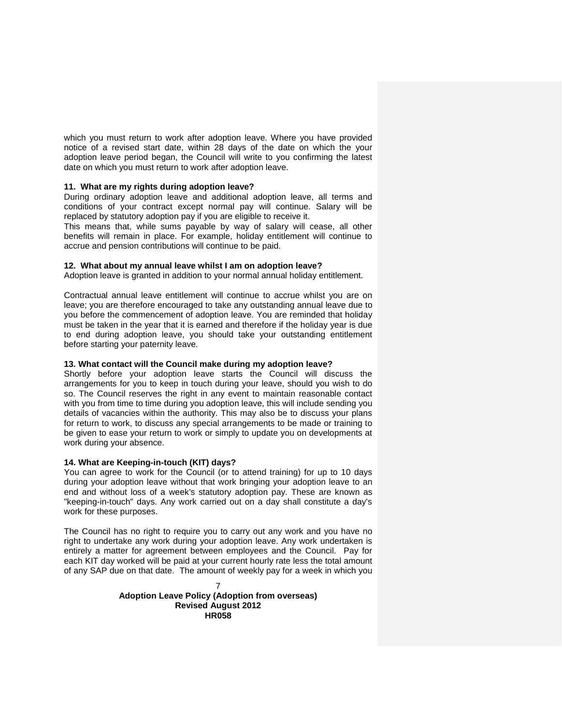which you must return to work after adoption leave. Where you have provided notice of a revised start date, within 28 days of the date on which the your adoption leave period began, the Council will write to you confirming the latest date on which you must return to work after adoption leave.

#### <span id="page-6-0"></span>**11. What are my rights during adoption leave?**

During ordinary adoption leave and additional adoption leave, all terms and conditions of your contract except normal pay will continue. Salary will be replaced by statutory adoption pay if you are eligible to receive it.

This means that, while sums payable by way of salary will cease, all other benefits will remain in place. For example, holiday entitlement will continue to accrue and pension contributions will continue to be paid.

#### <span id="page-6-1"></span>**12. What about my annual leave whilst I am on adoption leave?**

Adoption leave is granted in addition to your normal annual holiday entitlement.

Contractual annual leave entitlement will continue to accrue whilst you are on leave; you are therefore encouraged to take any outstanding annual leave due to you before the commencement of adoption leave. You are reminded that holiday must be taken in the year that it is earned and therefore if the holiday year is due to end during adoption leave, you should take your outstanding entitlement before starting your paternity leave.

#### <span id="page-6-2"></span>**13. What contact will the Council make during my adoption leave?**

Shortly before your adoption leave starts the Council will discuss the arrangements for you to keep in touch during your leave, should you wish to do so. The Council reserves the right in any event to maintain reasonable contact with you from time to time during you adoption leave, this will include sending you details of vacancies within the authority. This may also be to discuss your plans for return to work, to discuss any special arrangements to be made or training to be given to ease your return to work or simply to update you on developments at work during your absence.

#### <span id="page-6-3"></span>**14. What are Keeping-in-touch (KIT) days?**

You can agree to work for the Council (or to attend training) for up to 10 days during your adoption leave without that work bringing your adoption leave to an end and without loss of a week's statutory adoption pay. These are known as "keeping-in-touch" days. Any work carried out on a day shall constitute a day's work for these purposes.

The Council has no right to require you to carry out any work and you have no right to undertake any work during your adoption leave. Any work undertaken is entirely a matter for agreement between employees and the Council. Pay for each KIT day worked will be paid at your current hourly rate less the total amount of any SAP due on that date. The amount of weekly pay for a week in which you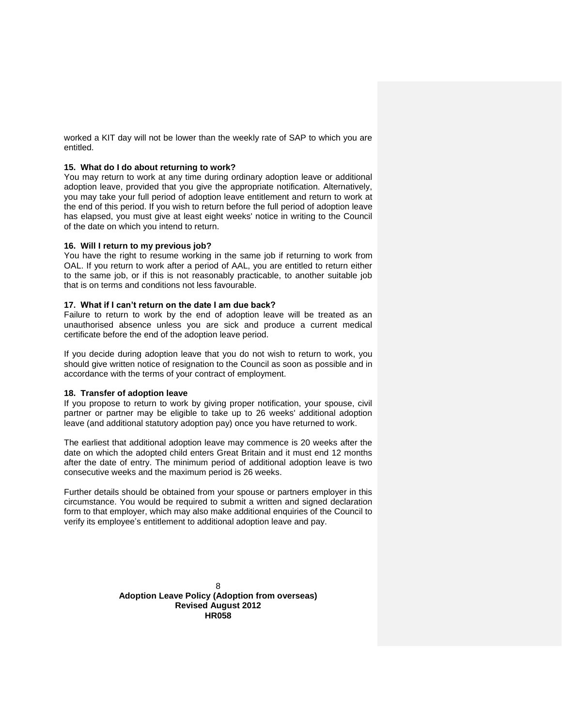worked a KIT day will not be lower than the weekly rate of SAP to which you are entitled.

#### <span id="page-7-0"></span>**15. What do I do about returning to work?**

You may return to work at any time during ordinary adoption leave or additional adoption leave, provided that you give the appropriate notification. Alternatively, you may take your full period of adoption leave entitlement and return to work at the end of this period. If you wish to return before the full period of adoption leave has elapsed, you must give at least eight weeks' notice in writing to the Council of the date on which you intend to return.

#### <span id="page-7-1"></span>**16. Will I return to my previous job?**

You have the right to resume working in the same job if returning to work from OAL. If you return to work after a period of AAL, you are entitled to return either to the same job, or if this is not reasonably practicable, to another suitable job that is on terms and conditions not less favourable.

#### <span id="page-7-2"></span>**17. What if I can't return on the date I am due back?**

Failure to return to work by the end of adoption leave will be treated as an unauthorised absence unless you are sick and produce a current medical certificate before the end of the adoption leave period.

If you decide during adoption leave that you do not wish to return to work, you should give written notice of resignation to the Council as soon as possible and in accordance with the terms of your contract of employment.

#### <span id="page-7-3"></span>**18. Transfer of adoption leave**

If you propose to return to work by giving proper notification, your spouse, civil partner or partner may be eligible to take up to 26 weeks' additional adoption leave (and additional statutory adoption pay) once you have returned to work.

The earliest that additional adoption leave may commence is 20 weeks after the date on which the adopted child enters Great Britain and it must end 12 months after the date of entry. The minimum period of additional adoption leave is two consecutive weeks and the maximum period is 26 weeks.

Further details should be obtained from your spouse or partners employer in this circumstance. You would be required to submit a written and signed declaration form to that employer, which may also make additional enquiries of the Council to verify its employee's entitlement to additional adoption leave and pay.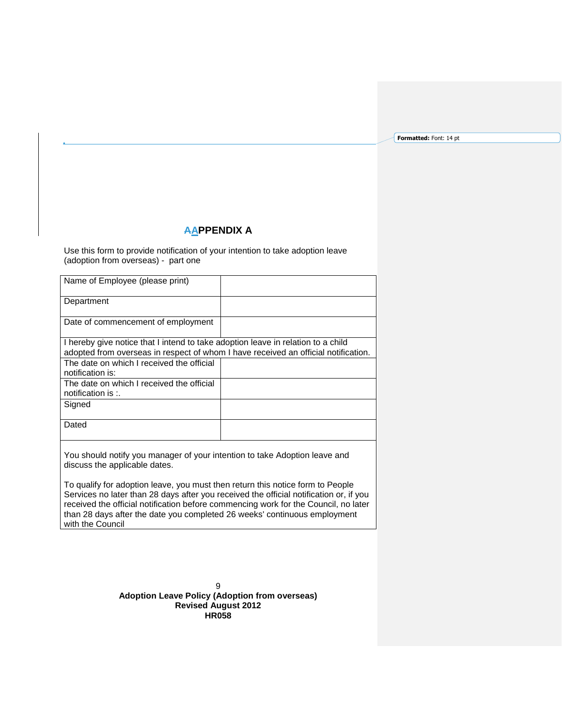**Formatted:** Font: 14 pt

# **AAPPENDIX A**

<span id="page-8-0"></span>Use this form to provide notification of your intention to take adoption leave (adoption from overseas) - part one

| Name of Employee (please print)                                                                                                                                        |  |
|------------------------------------------------------------------------------------------------------------------------------------------------------------------------|--|
| Department                                                                                                                                                             |  |
| Date of commencement of employment                                                                                                                                     |  |
| I hereby give notice that I intend to take adoption leave in relation to a child<br>adopted from overseas in respect of whom I have received an official notification. |  |
| The date on which I received the official<br>notification is:                                                                                                          |  |
| The date on which I received the official<br>notification is $\therefore$                                                                                              |  |
| Signed                                                                                                                                                                 |  |
| Dated                                                                                                                                                                  |  |
|                                                                                                                                                                        |  |

You should notify you manager of your intention to take Adoption leave and discuss the applicable dates.

To qualify for adoption leave, you must then return this notice form to People Services no later than 28 days after you received the official notification or, if you received the official notification before commencing work for the Council, no later than 28 days after the date you completed 26 weeks' continuous employment with the Council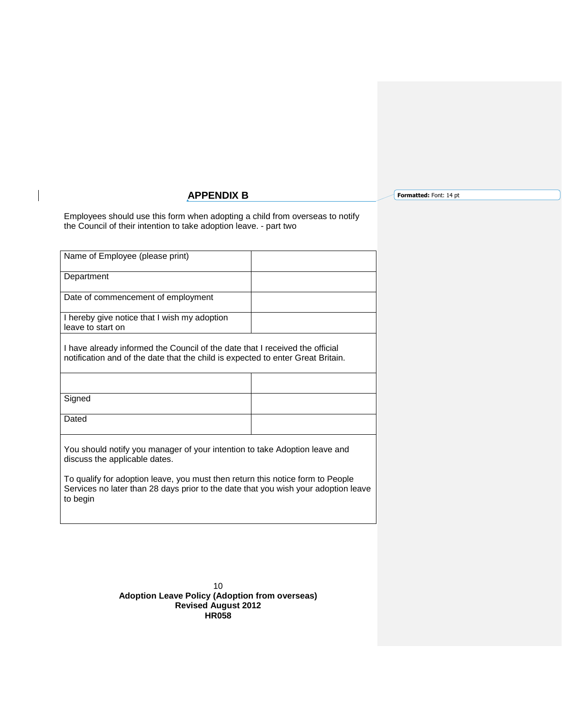# **APPENDIX B**

**Formatted:** Font: 14 pt

<span id="page-9-0"></span>Employees should use this form when adopting a child from overseas to notify the Council of their intention to take adoption leave. - part two

| Name of Employee (please print)                                                                                                                                 |  |  |
|-----------------------------------------------------------------------------------------------------------------------------------------------------------------|--|--|
| Department                                                                                                                                                      |  |  |
| Date of commencement of employment                                                                                                                              |  |  |
| I hereby give notice that I wish my adoption<br>leave to start on                                                                                               |  |  |
| I have already informed the Council of the date that I received the official<br>notification and of the date that the child is expected to enter Great Britain. |  |  |
|                                                                                                                                                                 |  |  |
| Signed                                                                                                                                                          |  |  |
| Dated                                                                                                                                                           |  |  |
| You should notify you manager of your intention to take Adoption leave and<br>discuss the applicable dates.                                                     |  |  |
| To qualify for adoption leave, you must then return this notice form to People                                                                                  |  |  |

Services no later than 28 days prior to the date that you wish your adoption leave to begin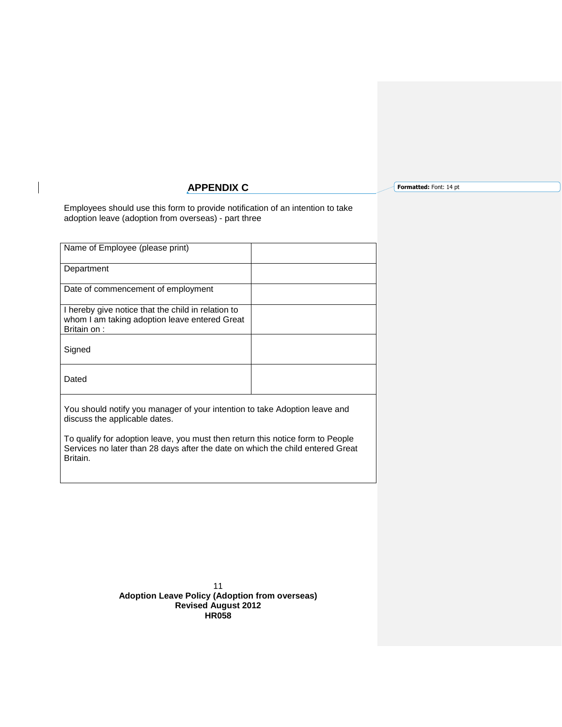# **APPENDIX C**

**Formatted:** Font: 14 pt

<span id="page-10-0"></span>Employees should use this form to provide notification of an intention to take adoption leave (adoption from overseas) - part three

| Name of Employee (please print)                                                                                    |  |
|--------------------------------------------------------------------------------------------------------------------|--|
| Department                                                                                                         |  |
| Date of commencement of employment                                                                                 |  |
| I hereby give notice that the child in relation to<br>whom I am taking adoption leave entered Great<br>Britain on: |  |
| Signed                                                                                                             |  |
| Dated                                                                                                              |  |
|                                                                                                                    |  |

You should notify you manager of your intention to take Adoption leave and discuss the applicable dates.

To qualify for adoption leave, you must then return this notice form to People Services no later than 28 days after the date on which the child entered Great Britain.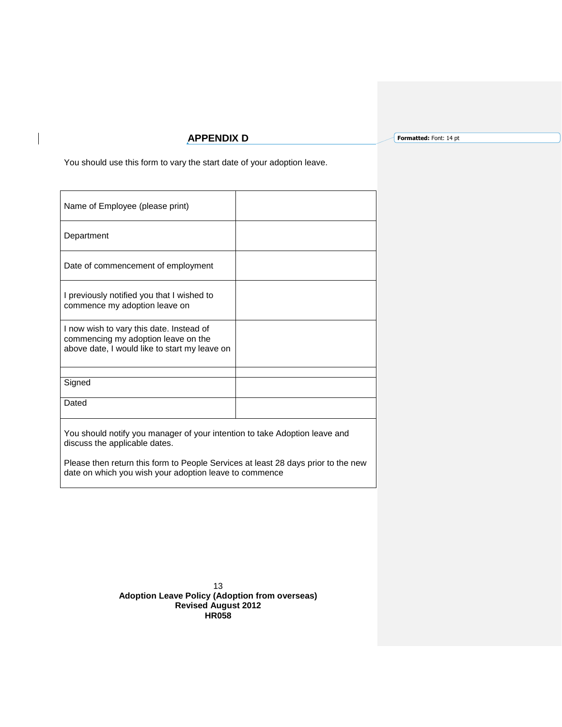# **APPENDIX D**

**Formatted:** Font: 14 pt

You should use this form to vary the start date of your adoption leave.

| Name of Employee (please print)                                                                                                  |  |
|----------------------------------------------------------------------------------------------------------------------------------|--|
| Department                                                                                                                       |  |
| Date of commencement of employment                                                                                               |  |
| I previously notified you that I wished to<br>commence my adoption leave on                                                      |  |
| I now wish to vary this date. Instead of<br>commencing my adoption leave on the<br>above date, I would like to start my leave on |  |
|                                                                                                                                  |  |
| Signed                                                                                                                           |  |
| Dated                                                                                                                            |  |

You should notify you manager of your intention to take Adoption leave and discuss the applicable dates.

<span id="page-12-0"></span>Please then return this form to People Services at least 28 days prior to the new date on which you wish your adoption leave to commence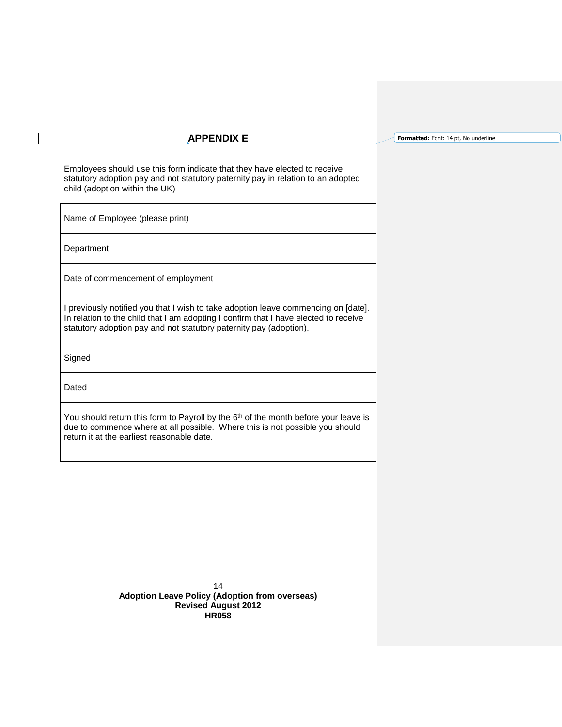## **APPENDIX E**

**Formatted:** Font: 14 pt, No underline

Employees should use this form indicate that they have elected to receive statutory adoption pay and not statutory paternity pay in relation to an adopted child (adoption within the UK)

| Name of Employee (please print)    |  |
|------------------------------------|--|
| Department                         |  |
| Date of commencement of employment |  |
|                                    |  |

I previously notified you that I wish to take adoption leave commencing on [date]. In relation to the child that I am adopting I confirm that I have elected to receive statutory adoption pay and not statutory paternity pay (adoption).

| Signed |  |
|--------|--|
| Dated  |  |

You should return this form to Payroll by the 6<sup>th</sup> of the month before your leave is due to commence where at all possible. Where this is not possible you should return it at the earliest reasonable date.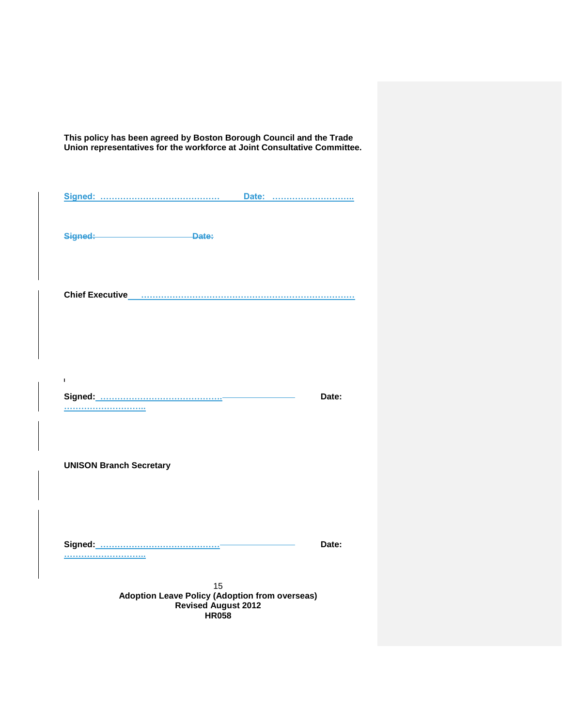**This policy has been agreed by Boston Borough Council and the Trade Union representatives for the workforce at Joint Consultative Committee.**

**Signed: …………………………………… Date: ……………………….. Signed: Date: Chief Executive …………………………………………………………………**  $\mathbf{I}$ **Signed: ……………………………………. Date: ……………………….. UNISON Branch Secretary Signed: …………………………………… Date: ………………………..**